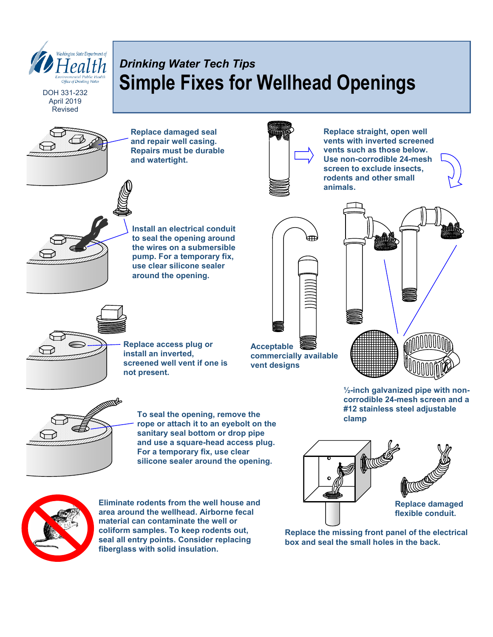

April 2019 Revised

# *Drinking Water Tech Tips* **Simple Fixes for Wellhead Openings**

**Replace damaged seal and repair well casing. Repairs must be durable and watertight.**



**Replace straight, open well vents with inverted screened vents such as those below. Use non-corrodible 24-mesh screen to exclude insects, rodents and other small animals.**



**Install an electrical conduit to seal the opening around the wires on a submersible pump. For a temporary fix, use clear silicone sealer around the opening.**





**Replace access plug or install an inverted, screened well vent if one is not present.**

**Acceptable commercially available vent designs**

**To seal the opening, remove the rope or attach it to an eyebolt on the sanitary seal bottom or drop pipe and use a square-head access plug. For a temporary fix, use clear silicone sealer around the opening.**

**Eliminate rodents from the well house and area around the wellhead. Airborne fecal material can contaminate the well or coliform samples. To keep rodents out, seal all entry points. Consider replacing fiberglass with solid insulation.**

**½-inch galvanized pipe with noncorrodible 24-mesh screen and a #12 stainless steel adjustable clamp**



**Replace the missing front panel of the electrical box and seal the small holes in the back.**